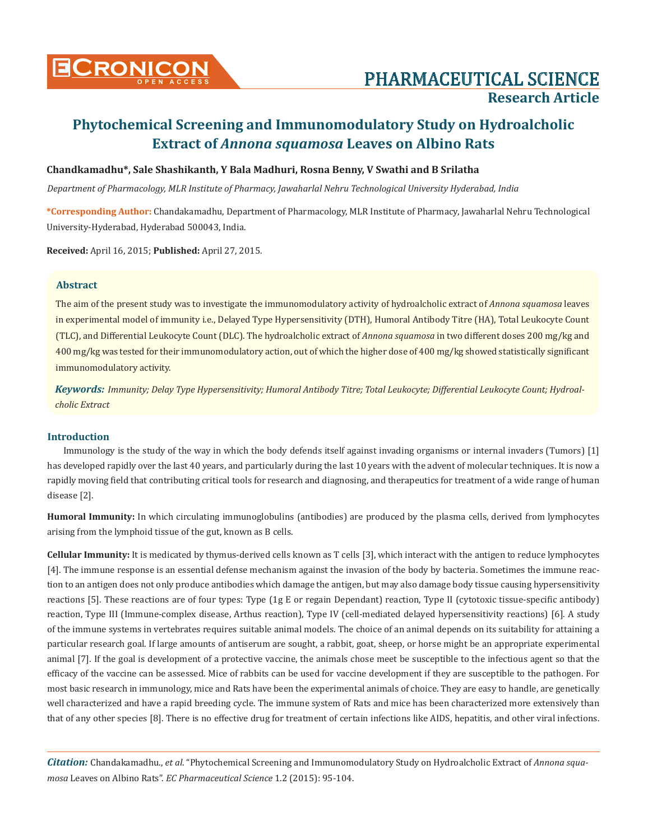

# **Research Article**

# **Phytochemical Screening and Immunomodulatory Study on Hydroalcholic Extract of** *Annona squamosa* **Leaves on Albino Rats**

#### **Chandkamadhu\*, Sale Shashikanth, Y Bala Madhuri, Rosna Benny, V Swathi and B Srilatha**

*Department of Pharmacology, MLR Institute of Pharmacy, Jawaharlal Nehru Technological University Hyderabad, India*

**\*Corresponding Author:** Chandakamadhu, Department of Pharmacology, MLR Institute of Pharmacy, Jawaharlal Nehru Technological University-Hyderabad, Hyderabad 500043, India.

**Received:** April 16, 2015; **Published:** April 27, 2015.

#### **Abstract**

The aim of the present study was to investigate the immunomodulatory activity of hydroalcholic extract of *Annona squamosa* leaves in experimental model of immunity i.e., Delayed Type Hypersensitivity (DTH), Humoral Antibody Titre (HA), Total Leukocyte Count (TLC), and Differential Leukocyte Count (DLC). The hydroalcholic extract of *Annona squamosa* in two different doses 200 mg/kg and 400 mg/kg was tested for their immunomodulatory action, out of which the higher dose of 400 mg/kg showed statistically significant immunomodulatory activity.

*Keywords: Immunity; Delay Type Hypersensitivity; Humoral Antibody Titre; Total Leukocyte; Differential Leukocyte Count; Hydroalcholic Extract*

#### **Introduction**

Immunology is the study of the way in which the body defends itself against invading organisms or internal invaders (Tumors) [1] has developed rapidly over the last 40 years, and particularly during the last 10 years with the advent of molecular techniques. It is now a rapidly moving field that contributing critical tools for research and diagnosing, and therapeutics for treatment of a wide range of human disease [2].

**Humoral Immunity:** In which circulating immunoglobulins (antibodies) are produced by the plasma cells, derived from lymphocytes arising from the lymphoid tissue of the gut, known as B cells.

**Cellular Immunity:** It is medicated by thymus-derived cells known as T cells [3], which interact with the antigen to reduce lymphocytes [4]. The immune response is an essential defense mechanism against the invasion of the body by bacteria. Sometimes the immune reaction to an antigen does not only produce antibodies which damage the antigen, but may also damage body tissue causing hypersensitivity reactions [5]. These reactions are of four types: Type (1g E or regain Dependant) reaction, Type II (cytotoxic tissue-specific antibody) reaction, Type III (Immune-complex disease, Arthus reaction), Type IV (cell-mediated delayed hypersensitivity reactions) [6]. A study of the immune systems in vertebrates requires suitable animal models. The choice of an animal depends on its suitability for attaining a particular research goal. If large amounts of antiserum are sought, a rabbit, goat, sheep, or horse might be an appropriate experimental animal [7]. If the goal is development of a protective vaccine, the animals chose meet be susceptible to the infectious agent so that the efficacy of the vaccine can be assessed. Mice of rabbits can be used for vaccine development if they are susceptible to the pathogen. For most basic research in immunology, mice and Rats have been the experimental animals of choice. They are easy to handle, are genetically well characterized and have a rapid breeding cycle. The immune system of Rats and mice has been characterized more extensively than that of any other species [8]. There is no effective drug for treatment of certain infections like AIDS, hepatitis, and other viral infections.

*Citation:* Chandakamadhu., *et al*. "Phytochemical Screening and Immunomodulatory Study on Hydroalcholic Extract of *Annona squamosa* Leaves on Albino Rats". *EC Pharmaceutical Science* 1.2 (2015): 95-104.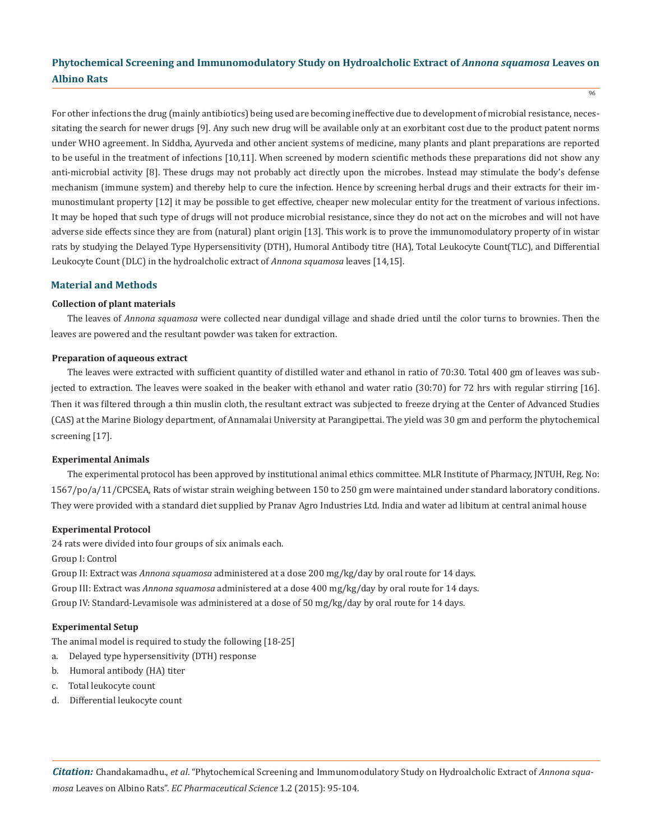$\frac{1}{96}$ 

For other infections the drug (mainly antibiotics) being used are becoming ineffective due to development of microbial resistance, necessitating the search for newer drugs [9]. Any such new drug will be available only at an exorbitant cost due to the product patent norms under WHO agreement. In Siddha, Ayurveda and other ancient systems of medicine, many plants and plant preparations are reported to be useful in the treatment of infections [10,11]. When screened by modern scientific methods these preparations did not show any anti-microbial activity [8]. These drugs may not probably act directly upon the microbes. Instead may stimulate the body's defense mechanism (immune system) and thereby help to cure the infection. Hence by screening herbal drugs and their extracts for their immunostimulant property [12] it may be possible to get effective, cheaper new molecular entity for the treatment of various infections. It may be hoped that such type of drugs will not produce microbial resistance, since they do not act on the microbes and will not have adverse side effects since they are from (natural) plant origin [13]. This work is to prove the immunomodulatory property of in wistar rats by studying the Delayed Type Hypersensitivity (DTH), Humoral Antibody titre (HA), Total Leukocyte Count(TLC), and Differential Leukocyte Count (DLC) in the hydroalcholic extract of *Annona squamosa* leaves [14,15].

#### **Material and Methods**

#### **Collection of plant materials**

The leaves of *Annona squamosa* were collected near dundigal village and shade dried until the color turns to brownies. Then the leaves are powered and the resultant powder was taken for extraction.

#### **Preparation of aqueous extract**

The leaves were extracted with sufficient quantity of distilled water and ethanol in ratio of 70:30. Total 400 gm of leaves was subjected to extraction. The leaves were soaked in the beaker with ethanol and water ratio (30:70) for 72 hrs with regular stirring [16]. Then it was filtered through a thin muslin cloth, the resultant extract was subjected to freeze drying at the Center of Advanced Studies (CAS) at the Marine Biology department, of Annamalai University at Parangipettai. The yield was 30 gm and perform the phytochemical screening [17].

#### **Experimental Animals**

The experimental protocol has been approved by institutional animal ethics committee. MLR Institute of Pharmacy, JNTUH, Reg. No: 1567/po/a/11/CPCSEA, Rats of wistar strain weighing between 150 to 250 gm were maintained under standard laboratory conditions. They were provided with a standard diet supplied by Pranav Agro Industries Ltd. India and water ad libitum at central animal house

#### **Experimental Protocol**

24 rats were divided into four groups of six animals each.

Group I: Control

Group II: Extract was *Annona squamosa* administered at a dose 200 mg/kg/day by oral route for 14 days. Group III: Extract was *Annona squamosa* administered at a dose 400 mg/kg/day by oral route for 14 days. Group IV: Standard-Levamisole was administered at a dose of 50 mg/kg/day by oral route for 14 days.

#### **Experimental Setup**

The animal model is required to study the following [18-25]

- a. Delayed type hypersensitivity (DTH) response
- b. Humoral antibody (HA) titer
- c. Total leukocyte count
- d. Differential leukocyte count

*Citation:* Chandakamadhu., *et al*. "Phytochemical Screening and Immunomodulatory Study on Hydroalcholic Extract of *Annona squamosa* Leaves on Albino Rats". *EC Pharmaceutical Science* 1.2 (2015): 95-104.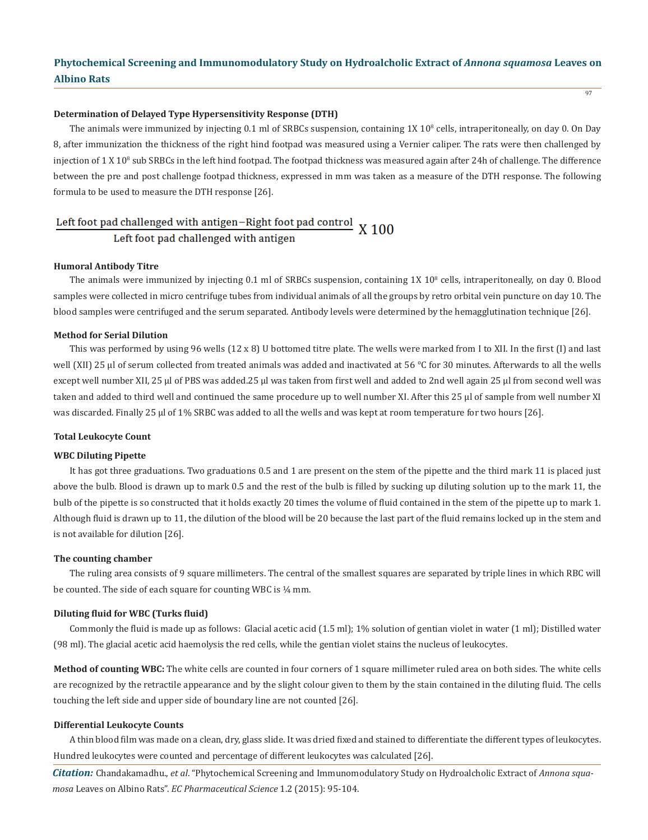97

#### **Determination of Delayed Type Hypersensitivity Response (DTH)**

The animals were immunized by injecting 0.1 ml of SRBCs suspension, containing 1X 10<sup>8</sup> cells, intraperitoneally, on day 0. On Day 8, after immunization the thickness of the right hind footpad was measured using a Vernier caliper. The rats were then challenged by injection of  $1$  X  $10^8$  sub SRBCs in the left hind footpad. The footpad thickness was measured again after 24h of challenge. The difference between the pre and post challenge footpad thickness, expressed in mm was taken as a measure of the DTH response. The following formula to be used to measure the DTH response [26].

# Left foot pad challenged with antigen-Right foot pad control  $X$  100

Left foot pad challenged with antigen

#### **Humoral Antibody Titre**

The animals were immunized by injecting  $0.1$  ml of SRBCs suspension, containing  $1X 10<sup>8</sup>$  cells, intraperitoneally, on day 0. Blood samples were collected in micro centrifuge tubes from individual animals of all the groups by retro orbital vein puncture on day 10. The blood samples were centrifuged and the serum separated. Antibody levels were determined by the hemagglutination technique [26].

#### **Method for Serial Dilution**

This was performed by using 96 wells (12 x 8) U bottomed titre plate. The wells were marked from I to XII. In the first (I) and last well (XII) 25 µl of serum collected from treated animals was added and inactivated at 56 °C for 30 minutes. Afterwards to all the wells except well number XII, 25 µl of PBS was added.25 µl was taken from first well and added to 2nd well again 25 µl from second well was taken and added to third well and continued the same procedure up to well number XI. After this 25 µl of sample from well number XI was discarded. Finally 25 µl of 1% SRBC was added to all the wells and was kept at room temperature for two hours [26].

#### **Total Leukocyte Count**

#### **WBC Diluting Pipette**

It has got three graduations. Two graduations 0.5 and 1 are present on the stem of the pipette and the third mark 11 is placed just above the bulb. Blood is drawn up to mark 0.5 and the rest of the bulb is filled by sucking up diluting solution up to the mark 11, the bulb of the pipette is so constructed that it holds exactly 20 times the volume of fluid contained in the stem of the pipette up to mark 1. Although fluid is drawn up to 11, the dilution of the blood will be 20 because the last part of the fluid remains locked up in the stem and is not available for dilution [26].

#### **The counting chamber**

The ruling area consists of 9 square millimeters. The central of the smallest squares are separated by triple lines in which RBC will be counted. The side of each square for counting WBC is  $\frac{1}{4}$  mm.

#### **Diluting fluid for WBC (Turks fluid)**

Commonly the fluid is made up as follows: Glacial acetic acid (1.5 ml); 1% solution of gentian violet in water (1 ml); Distilled water (98 ml). The glacial acetic acid haemolysis the red cells, while the gentian violet stains the nucleus of leukocytes.

**Method of counting WBC:** The white cells are counted in four corners of 1 square millimeter ruled area on both sides. The white cells are recognized by the retractile appearance and by the slight colour given to them by the stain contained in the diluting fluid. The cells touching the left side and upper side of boundary line are not counted [26].

#### **Differential Leukocyte Counts**

A thin blood film was made on a clean, dry, glass slide. It was dried fixed and stained to differentiate the different types of leukocytes. Hundred leukocytes were counted and percentage of different leukocytes was calculated [26].

*Citation:* Chandakamadhu., *et al*. "Phytochemical Screening and Immunomodulatory Study on Hydroalcholic Extract of *Annona squamosa* Leaves on Albino Rats". *EC Pharmaceutical Science* 1.2 (2015): 95-104.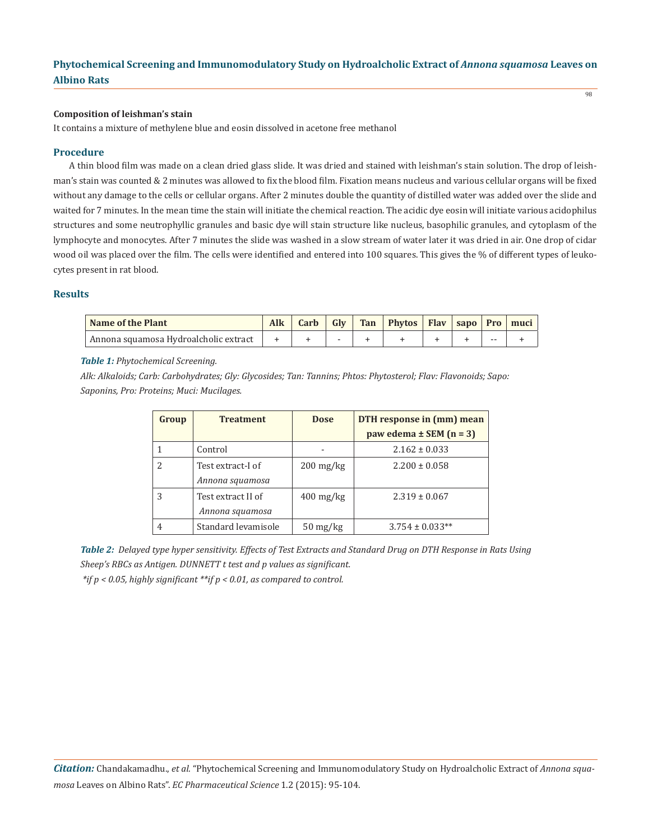#### **Composition of leishman's stain**

It contains a mixture of methylene blue and eosin dissolved in acetone free methanol

#### **Procedure**

A thin blood film was made on a clean dried glass slide. It was dried and stained with leishman's stain solution. The drop of leishman's stain was counted & 2 minutes was allowed to fix the blood film. Fixation means nucleus and various cellular organs will be fixed without any damage to the cells or cellular organs. After 2 minutes double the quantity of distilled water was added over the slide and waited for 7 minutes. In the mean time the stain will initiate the chemical reaction. The acidic dye eosin will initiate various acidophilus structures and some neutrophyllic granules and basic dye will stain structure like nucleus, basophilic granules, and cytoplasm of the lymphocyte and monocytes. After 7 minutes the slide was washed in a slow stream of water later it was dried in air. One drop of cidar wood oil was placed over the film. The cells were identified and entered into 100 squares. This gives the % of different types of leukocytes present in rat blood.

#### **Results**

| Name of the Plant                     | Carb | Gly | Tan Phytos Flav sapo Pro muci |  |       |  |
|---------------------------------------|------|-----|-------------------------------|--|-------|--|
| Annona squamosa Hydroalcholic extract |      |     |                               |  | $- -$ |  |

*Table 1: Phytochemical Screening.*

*Alk: Alkaloids; Carb: Carbohydrates; Gly: Glycosides; Tan: Tannins; Phtos: Phytosterol; Flav: Flavonoids; Sapo: Saponins, Pro: Proteins; Muci: Mucilages.*

| Group | <b>Treatment</b>                      | <b>Dose</b>                      | DTH response in (mm) mean   |
|-------|---------------------------------------|----------------------------------|-----------------------------|
|       |                                       |                                  | paw edema $\pm$ SEM (n = 3) |
|       | Control                               |                                  | $2.162 \pm 0.033$           |
| 2     | Test extract-I of<br>Annona squamosa  | $200 \,\mathrm{mg/kg}$           | $2.200 \pm 0.058$           |
| 3     | Test extract II of<br>Annona squamosa | $400 \,\mathrm{mg/kg}$           | $2.319 \pm 0.067$           |
| 4     | Standard levamisole                   | $50 \frac{\text{mg}}{\text{kg}}$ | $3.754 \pm 0.033**$         |

*Table 2: Delayed type hyper sensitivity. Effects of Test Extracts and Standard Drug on DTH Response in Rats Using Sheep's RBCs as Antigen. DUNNETT t test and p values as significant.*

 *\*if p < 0.05, highly significant \*\*if p < 0.01, as compared to control.*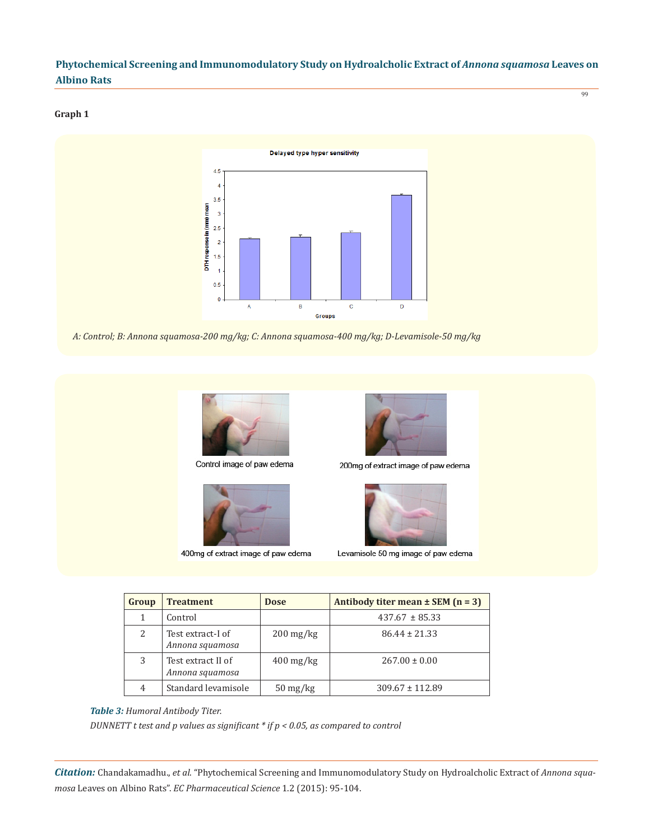#### **Graph 1**



*A: Control; B: Annona squamosa-200 mg/kg; C: Annona squamosa-400 mg/kg; D-Levamisole-50 mg/kg*



Control image of paw edema



400mg of extract image of paw edema



200mg of extract image of paw edema



Levamisole 50 mg image of paw edema

| Group | <b>Treatment</b>                      | <b>Dose</b>                      | Antibody titer mean $\pm$ SEM (n = 3) |
|-------|---------------------------------------|----------------------------------|---------------------------------------|
| 1     | Control                               |                                  | $437.67 \pm 85.33$                    |
| 2     | Test extract-I of<br>Annona squamosa  | $200 \,\mathrm{mg/kg}$           | $86.44 \pm 21.33$                     |
| 3     | Test extract II of<br>Annona squamosa | $400 \,\mathrm{mg/kg}$           | $267.00 \pm 0.00$                     |
| 4     | Standard levamisole                   | $50 \frac{\text{mg}}{\text{kg}}$ | $309.67 \pm 112.89$                   |

#### *Table 3: Humoral Antibody Titer.*

*DUNNETT t test and p values as significant \* if p < 0.05, as compared to control* 

*Citation:* Chandakamadhu., *et al*. "Phytochemical Screening and Immunomodulatory Study on Hydroalcholic Extract of *Annona squamosa* Leaves on Albino Rats". *EC Pharmaceutical Science* 1.2 (2015): 95-104.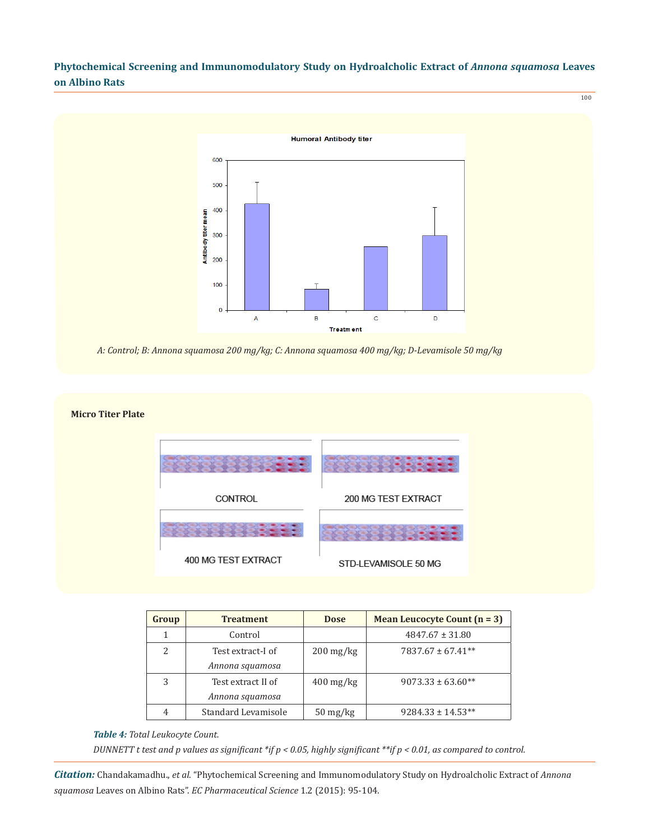100



*A: Control; B: Annona squamosa 200 mg/kg; C: Annona squamosa 400 mg/kg; D-Levamisole 50 mg/kg*



| Group | <b>Treatment</b>    | <b>Dose</b>                      | <b>Mean Leucocyte Count (n = 3)</b> |
|-------|---------------------|----------------------------------|-------------------------------------|
|       | Control             |                                  | $4847.67 \pm 31.80$                 |
| 2     | Test extract-I of   | $200 \,\mathrm{mg/kg}$           | $7837.67 \pm 67.41**$               |
|       | Annona squamosa     |                                  |                                     |
| 3     | Test extract II of  | $400 \,\mathrm{mg/kg}$           | $9073.33 \pm 63.60**$               |
|       | Annona squamosa     |                                  |                                     |
|       | Standard Levamisole | $50 \frac{\text{mg}}{\text{kg}}$ | $9284.33 \pm 14.53**$               |

#### *Table 4: Total Leukocyte Count.*

*DUNNETT t test and p values as significant \*if p < 0.05, highly significant \*\*if p < 0.01, as compared to control.* 

*Citation:* Chandakamadhu., *et al*. "Phytochemical Screening and Immunomodulatory Study on Hydroalcholic Extract of *Annona squamosa* Leaves on Albino Rats". *EC Pharmaceutical Science* 1.2 (2015): 95-104.

#### **Micro Titer Plate**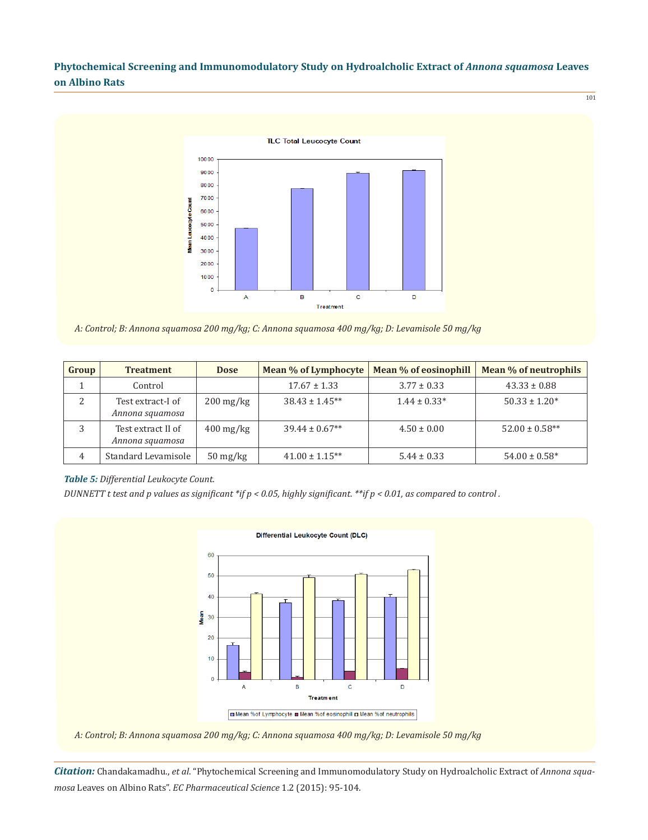

*A: Control; B: Annona squamosa 200 mg/kg; C: Annona squamosa 400 mg/kg; D: Levamisole 50 mg/kg*

| Group | <b>Treatment</b>                      | <b>Dose</b>                      | Mean % of Lymphocyte | Mean % of eosinophill | Mean % of neutrophils |
|-------|---------------------------------------|----------------------------------|----------------------|-----------------------|-----------------------|
|       | Control                               |                                  | $17.67 \pm 1.33$     | $3.77 \pm 0.33$       | $43.33 \pm 0.88$      |
| 2     | Test extract-I of<br>Annona squamosa  | $200 \,\mathrm{mg/kg}$           | $38.43 \pm 1.45**$   | $1.44 \pm 0.33*$      | $50.33 \pm 1.20*$     |
|       | Test extract II of<br>Annona squamosa | $400 \,\mathrm{mg/kg}$           | $39.44 \pm 0.67**$   | $4.50 \pm 0.00$       | $52.00 \pm 0.58**$    |
| 4     | Standard Levamisole                   | $50 \frac{\text{mg}}{\text{kg}}$ | $41.00 \pm 1.15***$  | $5.44 \pm 0.33$       | $54.00 \pm 0.58^*$    |

#### *Table 5: Differential Leukocyte Count.*

*DUNNETT t test and p values as significant \*if p < 0.05, highly significant. \*\*if p < 0.01, as compared to control .*



*A: Control; B: Annona squamosa 200 mg/kg; C: Annona squamosa 400 mg/kg; D: Levamisole 50 mg/kg*

*Citation:* Chandakamadhu., *et al*. "Phytochemical Screening and Immunomodulatory Study on Hydroalcholic Extract of *Annona squamosa* Leaves on Albino Rats". *EC Pharmaceutical Science* 1.2 (2015): 95-104.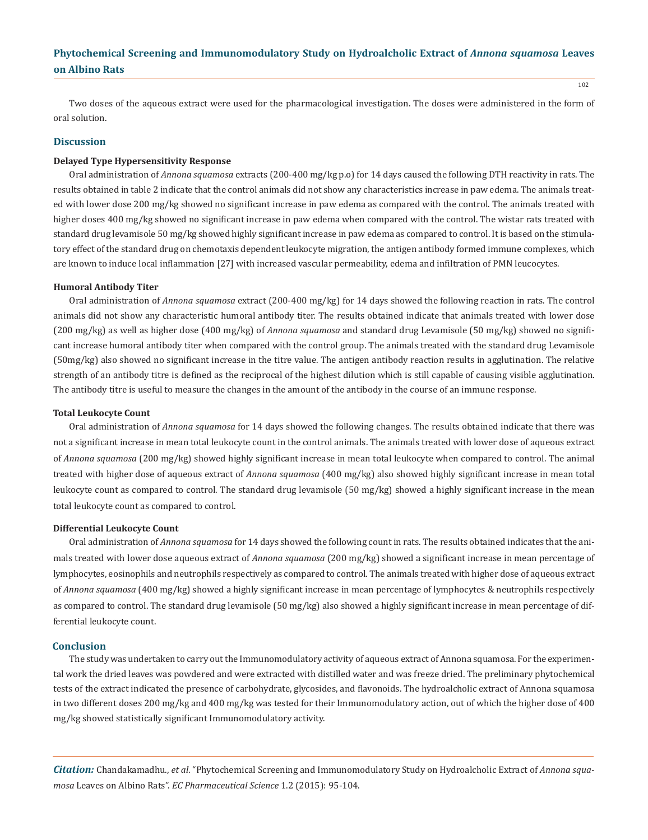Two doses of the aqueous extract were used for the pharmacological investigation. The doses were administered in the form of oral solution.

#### **Discussion**

#### **Delayed Type Hypersensitivity Response**

Oral administration of *Annona squamosa* extracts (200-400 mg/kg p.o) for 14 days caused the following DTH reactivity in rats. The results obtained in table 2 indicate that the control animals did not show any characteristics increase in paw edema. The animals treated with lower dose 200 mg/kg showed no significant increase in paw edema as compared with the control. The animals treated with higher doses 400 mg/kg showed no significant increase in paw edema when compared with the control. The wistar rats treated with standard drug levamisole 50 mg/kg showed highly significant increase in paw edema as compared to control. It is based on the stimulatory effect of the standard drug on chemotaxis dependent leukocyte migration, the antigen antibody formed immune complexes, which are known to induce local inflammation [27] with increased vascular permeability, edema and infiltration of PMN leucocytes.

#### **Humoral Antibody Titer**

Oral administration of *Annona squamosa* extract (200-400 mg/kg) for 14 days showed the following reaction in rats. The control animals did not show any characteristic humoral antibody titer. The results obtained indicate that animals treated with lower dose (200 mg/kg) as well as higher dose (400 mg/kg) of *Annona squamosa* and standard drug Levamisole (50 mg/kg) showed no significant increase humoral antibody titer when compared with the control group. The animals treated with the standard drug Levamisole (50mg/kg) also showed no significant increase in the titre value. The antigen antibody reaction results in agglutination. The relative strength of an antibody titre is defined as the reciprocal of the highest dilution which is still capable of causing visible agglutination. The antibody titre is useful to measure the changes in the amount of the antibody in the course of an immune response.

#### **Total Leukocyte Count**

Oral administration of *Annona squamosa* for 14 days showed the following changes. The results obtained indicate that there was not a significant increase in mean total leukocyte count in the control animals. The animals treated with lower dose of aqueous extract of *Annona squamosa* (200 mg/kg) showed highly significant increase in mean total leukocyte when compared to control. The animal treated with higher dose of aqueous extract of *Annona squamosa* (400 mg/kg) also showed highly significant increase in mean total leukocyte count as compared to control. The standard drug levamisole (50 mg/kg) showed a highly significant increase in the mean total leukocyte count as compared to control.

#### **Differential Leukocyte Count**

Oral administration of *Annona squamosa* for 14 days showed the following count in rats. The results obtained indicates that the animals treated with lower dose aqueous extract of *Annona squamosa* (200 mg/kg) showed a significant increase in mean percentage of lymphocytes, eosinophils and neutrophils respectively as compared to control. The animals treated with higher dose of aqueous extract of *Annona squamosa* (400 mg/kg) showed a highly significant increase in mean percentage of lymphocytes & neutrophils respectively as compared to control. The standard drug levamisole (50 mg/kg) also showed a highly significant increase in mean percentage of differential leukocyte count.

#### **Conclusion**

The study was undertaken to carry out the Immunomodulatory activity of aqueous extract of Annona squamosa. For the experimental work the dried leaves was powdered and were extracted with distilled water and was freeze dried. The preliminary phytochemical tests of the extract indicated the presence of carbohydrate, glycosides, and flavonoids. The hydroalcholic extract of Annona squamosa in two different doses 200 mg/kg and 400 mg/kg was tested for their Immunomodulatory action, out of which the higher dose of 400 mg/kg showed statistically significant Immunomodulatory activity.

*Citation:* Chandakamadhu., *et al*. "Phytochemical Screening and Immunomodulatory Study on Hydroalcholic Extract of *Annona squamosa* Leaves on Albino Rats". *EC Pharmaceutical Science* 1.2 (2015): 95-104.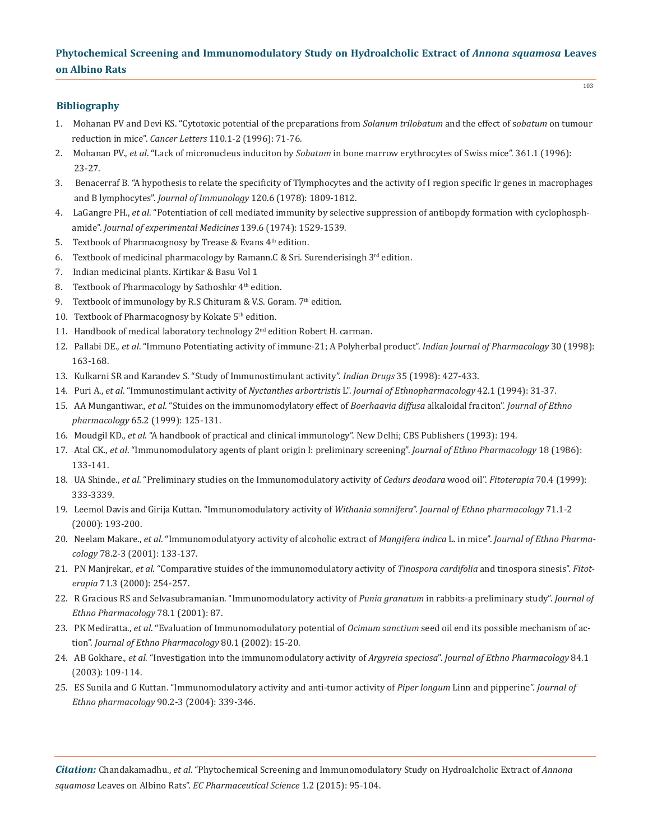#### **Bibliography**

- 1. Mohanan PV and Devi KS. "Cytotoxic potential of the preparations from *Solanum trilobatum* and the effect of s*obatum* on tumour reduction in mice". *Cancer Letters* 110.1-2 (1996): 71-76.
- 2. Mohanan PV., *et al*. "Lack of micronucleus induciton by *Sobatum* in bone marrow erythrocytes of Swiss mice". 361.1 (1996): 23-27.
- 3. Benacerraf B. "A hypothesis to relate the specificity of Tlymphocytes and the activity of I region specific Ir genes in macrophages and B lymphocytes". *Journal of Immunology* 120.6 (1978): 1809-1812.
- 4. LaGangre PH., *et al*. "Potentiation of cell mediated immunity by selective suppression of antibopdy formation with cyclophosph amide". *Journal of experimental Medicines* 139.6 (1974): 1529-1539.
- 5. Textbook of Pharmacognosy by Trease & Evans 4<sup>th</sup> edition.
- 6. Textbook of medicinal pharmacology by Ramann.C & Sri. Surenderisingh  $3^{\text{rd}}$  edition.
- 7. Indian medicinal plants. Kirtikar & Basu Vol 1
- 8. Textbook of Pharmacology by Sathoshkr 4<sup>th</sup> edition.
- 9. Textbook of immunology by R.S Chituram & V.S. Goram.  $7<sup>th</sup>$  edition.
- 10. Textbook of Pharmacognosy by Kokate 5<sup>th</sup> edition.
- 11. Handbook of medical laboratory technology 2<sup>nd</sup> edition Robert H. carman.
- 12. Pallabi DE., *et al*. "Immuno Potentiating activity of immune-21; A Polyherbal product". *Indian Journal of Pharmacology* 30 (1998): 163-168.
- 13. Kulkarni SR and Karandev S. "Study of Immunostimulant activity". *Indian Drugs* 35 (1998): 427-433.
- 14. Puri A., *et al*. "Immunostimulant activity of *Nyctanthes arbortristis* L". *Journal of Ethnopharmacology* 42.1 (1994): 31-37.
- 15. AA Mungantiwar., *et al*. "Stuides on the immunomodylatory effect of *Boerhaavia diffusa* alkaloidal fraciton". *Journal of Ethno pharmacology* 65.2 (1999): 125-131.
- 16. Moudgil KD., *et al*. "A handbook of practical and clinical immunology". New Delhi; CBS Publishers (1993): 194.
- 17. Atal CK., *et al*. "Immunomodulatory agents of plant origin I: preliminary screening". *Journal of Ethno Pharmacology* 18 (1986): 133-141.
- 18. UA Shinde., *et al*. "Preliminary studies on the Immunomodulatory activity of *Cedurs deodara* wood oil". *Fitoterapia* 70.4 (1999): 333-3339.
- 19. Leemol Davis and Girija Kuttan. "Immunomodulatory activity of *Withania somnifera*". *Journal of Ethno pharmacology* 71.1-2 (2000): 193-200.
- 20. Neelam Makare., *et al*. "Immunomodulatyory activity of alcoholic extract of *Mangifera indica* L. in mice". *Journal of Ethno Pharma cology* 78.2-3 (2001): 133-137.
- 21. PN Manjrekar., *et al*. "Comparative stuides of the immunomodulatory activity of *Tinospora cardifolia* and tinospora sinesis". *Fitot erapia* 71.3 (2000): 254-257.
- 22. R Gracious RS and Selvasubramanian. "Immunomodulatory activity of *Punia granatum* in rabbits-a preliminary study". *Journal of Ethno Pharmacology* 78.1 (2001): 87.
- 23. PK Mediratta., *et al*. "Evaluation of Immunomodulatory potential of *Ocimum sanctium* seed oil end its possible mechanism of ac tion". *Journal of Ethno Pharmacology* 80.1 (2002): 15-20.
- 24. AB Gokhare., *et al*. "Investigation into the immunomodulatory activity of *Argyreia speciosa*". *Journal of Ethno Pharmacology* 84.1 (2003): 109-114.
- 25. ES Sunila and G Kuttan. "Immunomodulatory activity and anti-tumor activity of *Piper longum* Linn and pipperine". *Journal of Ethno pharmacology* 90.2-3 (2004): 339-346.

*Citation:* Chandakamadhu., *et al*. "Phytochemical Screening and Immunomodulatory Study on Hydroalcholic Extract of *Annona squamosa* Leaves on Albino Rats". *EC Pharmaceutical Science* 1.2 (2015): 95-104.